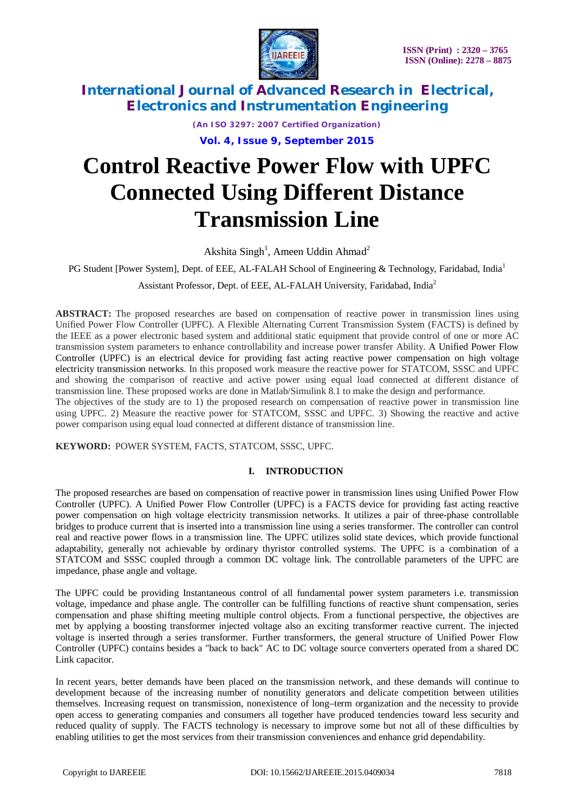

*(An ISO 3297: 2007 Certified Organization)*

**Vol. 4, Issue 9, September 2015**

# **Control Reactive Power Flow with UPFC Connected Using Different Distance Transmission Line**

Akshita Singh<sup>1</sup>, Ameen Uddin Ahmad<sup>2</sup>

PG Student [Power System], Dept. of EEE, AL-FALAH School of Engineering & Technology, Faridabad, India<sup>1</sup>

Assistant Professor, Dept. of EEE, AL-FALAH University, Faridabad, India<sup>2</sup>

**ABSTRACT:** The proposed researches are based on compensation of reactive power in transmission lines using Unified Power Flow Controller (UPFC). A Flexible Alternating Current Transmission System (FACTS) is defined by the IEEE as a power electronic based system and additional static equipment that provide control of one or more AC transmission system parameters to enhance controllability and increase power transfer Ability. A Unified Power Flow Controller (UPFC) is an electrical device for providing fast acting reactive power compensation on high voltage electricity transmission networks. In this proposed work measure the reactive power for STATCOM, SSSC and UPFC and showing the comparison of reactive and active power using equal load connected at different distance of transmission line. These proposed works are done in Matlab/Simulink 8.1 to make the design and performance.

The objectives of the study are to 1) the proposed research on compensation of reactive power in transmission line using UPFC. 2) Measure the reactive power for STATCOM, SSSC and UPFC. 3) Showing the reactive and active power comparison using equal load connected at different distance of transmission line.

**KEYWORD:** POWER SYSTEM, FACTS, STATCOM, SSSC, UPFC.

### **I. INTRODUCTION**

The proposed researches are based on compensation of reactive power in transmission lines using Unified Power Flow Controller (UPFC). A Unified Power Flow Controller (UPFC) is a FACTS device for providing fast acting reactive power compensation on high voltage electricity transmission networks. It utilizes a pair of three-phase controllable bridges to produce current that is inserted into a transmission line using a series transformer. The controller can control real and reactive power flows in a transmission line. The UPFC utilizes solid state devices, which provide functional adaptability, generally not achievable by ordinary thyristor controlled systems. The UPFC is a combination of a STATCOM and SSSC coupled through a common DC voltage link. The controllable parameters of the UPFC are impedance, phase angle and voltage.

The UPFC could be providing Instantaneous control of all fundamental power system parameters i.e. transmission voltage, impedance and phase angle. The controller can be fulfilling functions of reactive shunt compensation, series compensation and phase shifting meeting multiple control objects. From a functional perspective, the objectives are met by applying a boosting transformer injected voltage also an exciting transformer reactive current. The injected voltage is inserted through a series transformer. Further transformers, the general structure of Unified Power Flow Controller (UPFC) contains besides a "back to back" AC to DC voltage source converters operated from a shared DC Link capacitor.

In recent years, better demands have been placed on the transmission network, and these demands will continue to development because of the increasing number of nonutility generators and delicate competition between utilities themselves. Increasing request on transmission, nonexistence of long–term organization and the necessity to provide open access to generating companies and consumers all together have produced tendencies toward less security and reduced quality of supply. The FACTS technology is necessary to improve some but not all of these difficulties by enabling utilities to get the most services from their transmission conveniences and enhance grid dependability.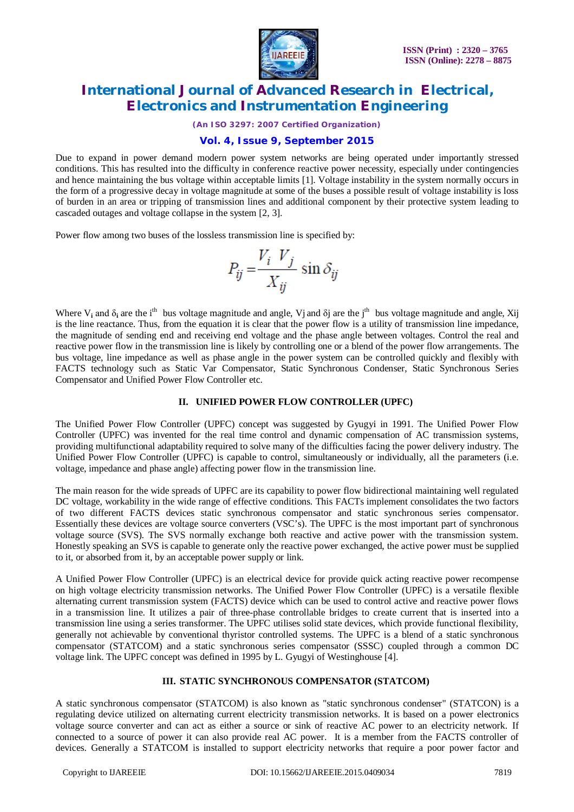

*(An ISO 3297: 2007 Certified Organization)*

### **Vol. 4, Issue 9, September 2015**

Due to expand in power demand modern power system networks are being operated under importantly stressed conditions. This has resulted into the difficulty in conference reactive power necessity, especially under contingencies and hence maintaining the bus voltage within acceptable limits [1]. Voltage instability in the system normally occurs in the form of a progressive decay in voltage magnitude at some of the buses a possible result of voltage instability is loss of burden in an area or tripping of transmission lines and additional component by their protective system leading to cascaded outages and voltage collapse in the system [2, 3].

Power flow among two buses of the lossless transmission line is specified by:

$$
P_{ij} = \frac{V_i V_j}{X_{ij}} \sin \delta_{ij}
$$

Where  $V_i$  and  $\delta_i$  are the i<sup>th</sup> bus voltage magnitude and angle, Vj and  $\delta j$  are the j<sup>th</sup> bus voltage magnitude and angle, Xij is the line reactance. Thus, from the equation it is clear that the power flow is a utility of transmission line impedance, the magnitude of sending end and receiving end voltage and the phase angle between voltages. Control the real and reactive power flow in the transmission line is likely by controlling one or a blend of the power flow arrangements. The bus voltage, line impedance as well as phase angle in the power system can be controlled quickly and flexibly with FACTS technology such as Static Var Compensator, Static Synchronous Condenser, Static Synchronous Series Compensator and Unified Power Flow Controller etc.

#### **II. UNIFIED POWER FLOW CONTROLLER (UPFC)**

The Unified Power Flow Controller (UPFC) concept was suggested by Gyugyi in 1991. The Unified Power Flow Controller (UPFC) was invented for the real time control and dynamic compensation of AC transmission systems, providing multifunctional adaptability required to solve many of the difficulties facing the power delivery industry. The Unified Power Flow Controller (UPFC) is capable to control, simultaneously or individually, all the parameters (i.e. voltage, impedance and phase angle) affecting power flow in the transmission line.

The main reason for the wide spreads of UPFC are its capability to power flow bidirectional maintaining well regulated DC voltage, workability in the wide range of effective conditions. This FACTs implement consolidates the two factors of two different FACTS devices static synchronous compensator and static synchronous series compensator. Essentially these devices are voltage source converters (VSC's). The UPFC is the most important part of synchronous voltage source (SVS). The SVS normally exchange both reactive and active power with the transmission system. Honestly speaking an SVS is capable to generate only the reactive power exchanged, the active power must be supplied to it, or absorbed from it, by an acceptable power supply or link.

A Unified Power Flow Controller (UPFC) is an electrical device for provide quick acting reactive power recompense on high voltage electricity transmission networks. The Unified Power Flow Controller (UPFC) is a versatile flexible alternating current transmission system (FACTS) device which can be used to control active and reactive power flows in a transmission line. It utilizes a pair of three-phase controllable bridges to create current that is inserted into a transmission line using a series transformer. The UPFC utilises solid state devices, which provide functional flexibility, generally not achievable by conventional thyristor controlled systems. The UPFC is a blend of a static synchronous compensator (STATCOM) and a static synchronous series compensator (SSSC) coupled through a common DC voltage link. The UPFC concept was defined in 1995 by L. Gyugyi of Westinghouse [4].

#### **III. STATIC SYNCHRONOUS COMPENSATOR (STATCOM)**

A static synchronous compensator (STATCOM) is also known as "static synchronous condenser" (STATCON) is a regulating device utilized on alternating current electricity transmission networks. It is based on a power electronics voltage source converter and can act as either a source or sink of reactive AC power to an electricity network. If connected to a source of power it can also provide real AC power. It is a member from the FACTS controller of devices. Generally a STATCOM is installed to support electricity networks that require a poor power factor and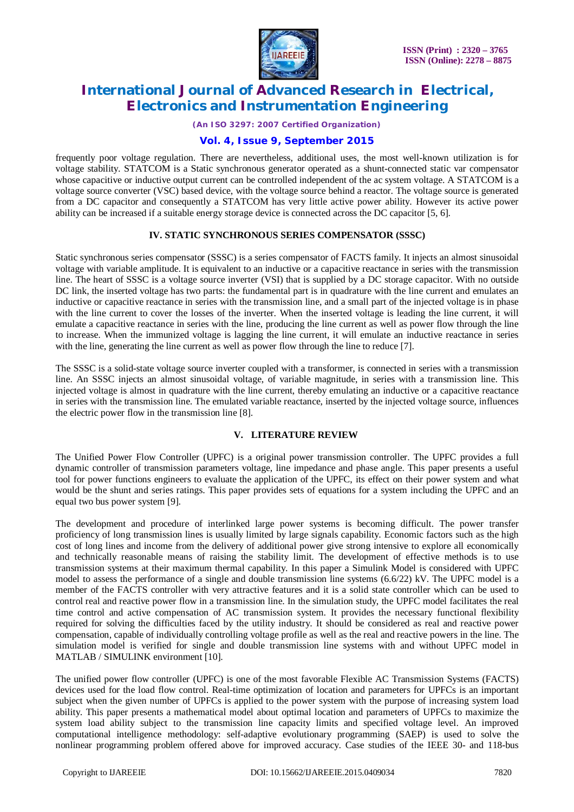

*(An ISO 3297: 2007 Certified Organization)*

### **Vol. 4, Issue 9, September 2015**

frequently poor voltage regulation. There are nevertheless, additional uses, the most well-known utilization is for voltage stability. STATCOM is a Static synchronous generator operated as a shunt-connected static var compensator whose capacitive or inductive output current can be controlled independent of the ac system voltage. A STATCOM is a voltage source converter (VSC) based device, with the voltage source behind a reactor. The voltage source is generated from a DC capacitor and consequently a STATCOM has very little active power ability. However its active power ability can be increased if a suitable energy storage device is connected across the DC capacitor [5, 6].

### **IV. STATIC SYNCHRONOUS SERIES COMPENSATOR (SSSC)**

Static synchronous series compensator (SSSC) is a series compensator of FACTS family. It injects an almost sinusoidal voltage with variable amplitude. It is equivalent to an inductive or a capacitive reactance in series with the transmission line. The heart of SSSC is a voltage source inverter (VSI) that is supplied by a DC storage capacitor. With no outside DC link, the inserted voltage has two parts: the fundamental part is in quadrature with the line current and emulates an inductive or capacitive reactance in series with the transmission line, and a small part of the injected voltage is in phase with the line current to cover the losses of the inverter. When the inserted voltage is leading the line current, it will emulate a capacitive reactance in series with the line, producing the line current as well as power flow through the line to increase. When the immunized voltage is lagging the line current, it will emulate an inductive reactance in series with the line, generating the line current as well as power flow through the line to reduce [7].

The SSSC is a solid-state voltage source inverter coupled with a transformer, is connected in series with a transmission line. An SSSC injects an almost sinusoidal voltage, of variable magnitude, in series with a transmission line. This injected voltage is almost in quadrature with the line current, thereby emulating an inductive or a capacitive reactance in series with the transmission line. The emulated variable reactance, inserted by the injected voltage source, influences the electric power flow in the transmission line [8].

#### **V. LITERATURE REVIEW**

The Unified Power Flow Controller (UPFC) is a original power transmission controller. The UPFC provides a full dynamic controller of transmission parameters voltage, line impedance and phase angle. This paper presents a useful tool for power functions engineers to evaluate the application of the UPFC, its effect on their power system and what would be the shunt and series ratings. This paper provides sets of equations for a system including the UPFC and an equal two bus power system [9].

The development and procedure of interlinked large power systems is becoming difficult. The power transfer proficiency of long transmission lines is usually limited by large signals capability. Economic factors such as the high cost of long lines and income from the delivery of additional power give strong intensive to explore all economically and technically reasonable means of raising the stability limit. The development of effective methods is to use transmission systems at their maximum thermal capability. In this paper a Simulink Model is considered with UPFC model to assess the performance of a single and double transmission line systems (6.6/22) kV. The UPFC model is a member of the FACTS controller with very attractive features and it is a solid state controller which can be used to control real and reactive power flow in a transmission line. In the simulation study, the UPFC model facilitates the real time control and active compensation of AC transmission system. It provides the necessary functional flexibility required for solving the difficulties faced by the utility industry. It should be considered as real and reactive power compensation, capable of individually controlling voltage profile as well as the real and reactive powers in the line. The simulation model is verified for single and double transmission line systems with and without UPFC model in MATLAB / SIMULINK environment [10].

The unified power flow controller (UPFC) is one of the most favorable Flexible AC Transmission Systems (FACTS) devices used for the load flow control. Real-time optimization of location and parameters for UPFCs is an important subject when the given number of UPFCs is applied to the power system with the purpose of increasing system load ability. This paper presents a mathematical model about optimal location and parameters of UPFCs to maximize the system load ability subject to the transmission line capacity limits and specified voltage level. An improved computational intelligence methodology: self-adaptive evolutionary programming (SAEP) is used to solve the nonlinear programming problem offered above for improved accuracy. Case studies of the IEEE 30- and 118-bus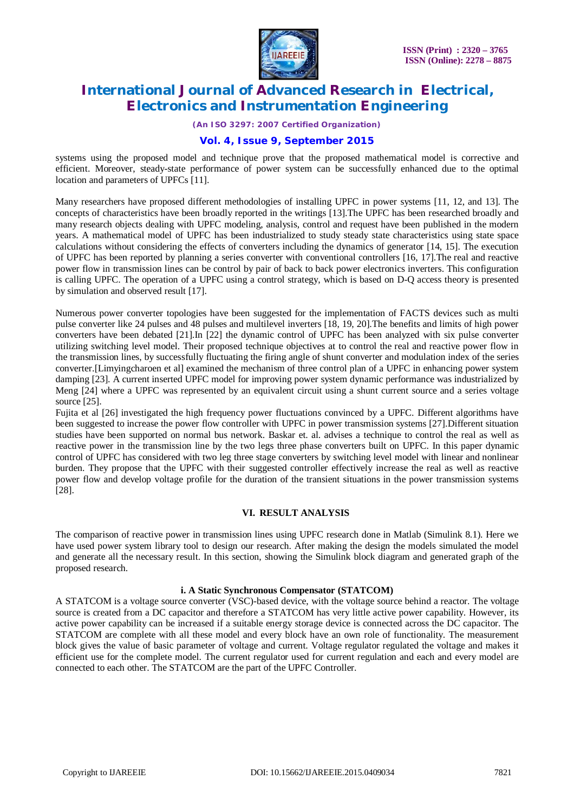

*(An ISO 3297: 2007 Certified Organization)*

### **Vol. 4, Issue 9, September 2015**

systems using the proposed model and technique prove that the proposed mathematical model is corrective and efficient. Moreover, steady-state performance of power system can be successfully enhanced due to the optimal location and parameters of UPFCs [11].

Many researchers have proposed different methodologies of installing UPFC in power systems [11, 12, and 13]. The concepts of characteristics have been broadly reported in the writings [13].The UPFC has been researched broadly and many research objects dealing with UPFC modeling, analysis, control and request have been published in the modern years. A mathematical model of UPFC has been industrialized to study steady state characteristics using state space calculations without considering the effects of converters including the dynamics of generator [14, 15]. The execution of UPFC has been reported by planning a series converter with conventional controllers [16, 17].The real and reactive power flow in transmission lines can be control by pair of back to back power electronics inverters. This configuration is calling UPFC. The operation of a UPFC using a control strategy, which is based on D-Q access theory is presented by simulation and observed result [17].

Numerous power converter topologies have been suggested for the implementation of FACTS devices such as multi pulse converter like 24 pulses and 48 pulses and multilevel inverters [18, 19, 20].The benefits and limits of high power converters have been debated [21].In [22] the dynamic control of UPFC has been analyzed with six pulse converter utilizing switching level model. Their proposed technique objectives at to control the real and reactive power flow in the transmission lines, by successfully fluctuating the firing angle of shunt converter and modulation index of the series converter.[Limyingcharoen et al] examined the mechanism of three control plan of a UPFC in enhancing power system damping [23]. A current inserted UPFC model for improving power system dynamic performance was industrialized by Meng [24] where a UPFC was represented by an equivalent circuit using a shunt current source and a series voltage source [25].

Fujita et al [26] investigated the high frequency power fluctuations convinced by a UPFC. Different algorithms have been suggested to increase the power flow controller with UPFC in power transmission systems [27].Different situation studies have been supported on normal bus network. Baskar et. al. advises a technique to control the real as well as reactive power in the transmission line by the two legs three phase converters built on UPFC. In this paper dynamic control of UPFC has considered with two leg three stage converters by switching level model with linear and nonlinear burden. They propose that the UPFC with their suggested controller effectively increase the real as well as reactive power flow and develop voltage profile for the duration of the transient situations in the power transmission systems [28].

#### **VI. RESULT ANALYSIS**

The comparison of reactive power in transmission lines using UPFC research done in Matlab (Simulink 8.1). Here we have used power system library tool to design our research. After making the design the models simulated the model and generate all the necessary result. In this section, showing the Simulink block diagram and generated graph of the proposed research.

#### **i. A Static Synchronous Compensator (STATCOM)**

A STATCOM is a voltage source converter (VSC)-based device, with the voltage source behind a reactor. The voltage source is created from a DC capacitor and therefore a STATCOM has very little active power capability. However, its active power capability can be increased if a suitable energy storage device is connected across the DC capacitor. The STATCOM are complete with all these model and every block have an own role of functionality. The measurement block gives the value of basic parameter of voltage and current. Voltage regulator regulated the voltage and makes it efficient use for the complete model. The current regulator used for current regulation and each and every model are connected to each other. The STATCOM are the part of the UPFC Controller.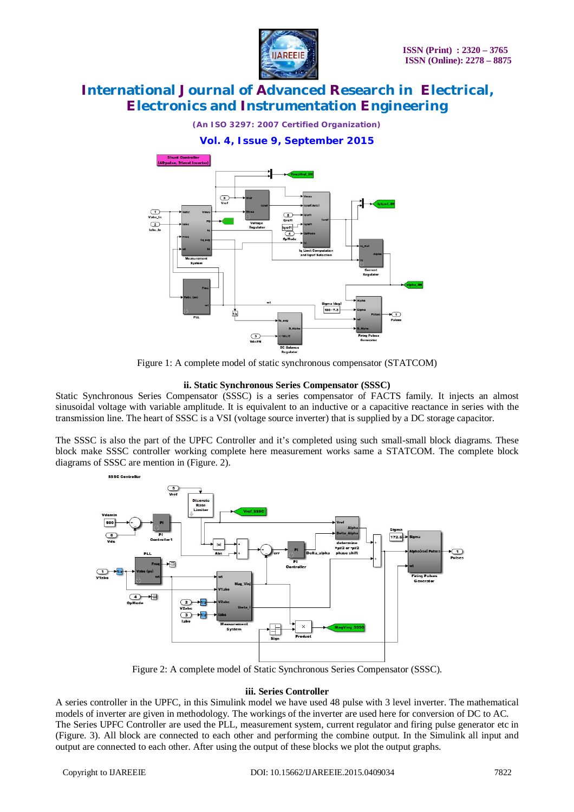

*(An ISO 3297: 2007 Certified Organization)*





Figure 1: A complete model of static synchronous compensator (STATCOM)

#### **ii. Static Synchronous Series Compensator (SSSC)**

Static Synchronous Series Compensator (SSSC) is a series compensator of FACTS family. It injects an almost sinusoidal voltage with variable amplitude. It is equivalent to an inductive or a capacitive reactance in series with the transmission line. The heart of SSSC is a VSI (voltage source inverter) that is supplied by a DC storage capacitor.

The SSSC is also the part of the UPFC Controller and it's completed using such small-small block diagrams. These block make SSSC controller working complete here measurement works same a STATCOM. The complete block diagrams of SSSC are mention in (Figure. 2).



Figure 2: A complete model of Static Synchronous Series Compensator (SSSC).

#### **iii. Series Controller**

A series controller in the UPFC, in this Simulink model we have used 48 pulse with 3 level inverter. The mathematical models of inverter are given in methodology. The workings of the inverter are used here for conversion of DC to AC. The Series UPFC Controller are used the PLL, measurement system, current regulator and firing pulse generator etc in (Figure. 3). All block are connected to each other and performing the combine output. In the Simulink all input and output are connected to each other. After using the output of these blocks we plot the output graphs.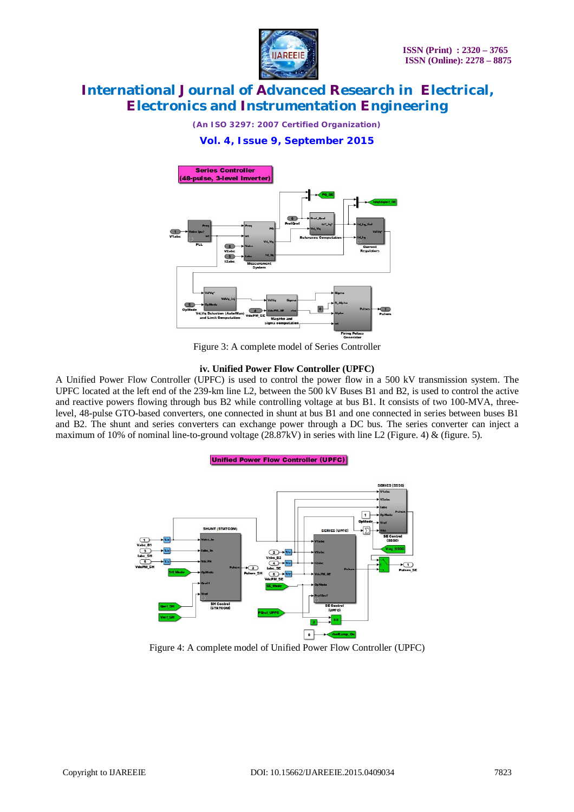

*(An ISO 3297: 2007 Certified Organization)*

### **Vol. 4, Issue 9, September 2015**



Figure 3: A complete model of Series Controller

#### **iv. Unified Power Flow Controller (UPFC)**

A Unified Power Flow Controller (UPFC) is used to control the power flow in a 500 kV transmission system. The UPFC located at the left end of the 239-km line L2, between the 500 kV Buses B1 and B2, is used to control the active and reactive powers flowing through bus B2 while controlling voltage at bus B1. It consists of two 100-MVA, threelevel, 48-pulse GTO-based converters, one connected in shunt at bus B1 and one connected in series between buses B1 and B2. The shunt and series converters can exchange power through a DC bus. The series converter can inject a maximum of 10% of nominal line-to-ground voltage  $(28.87kV)$  in series with line L2 (Figure. 4) & (figure. 5).

#### **Unified Power Flow Controller (UPFC)**



Figure 4: A complete model of Unified Power Flow Controller (UPFC)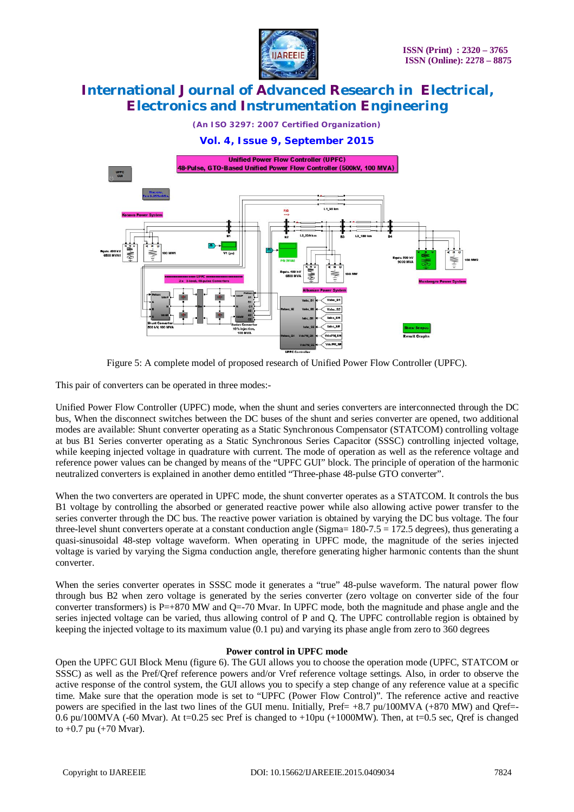

*(An ISO 3297: 2007 Certified Organization)*

### **Vol. 4, Issue 9, September 2015**



Figure 5: A complete model of proposed research of Unified Power Flow Controller (UPFC).

This pair of converters can be operated in three modes:-

Unified Power Flow Controller (UPFC) mode, when the shunt and series converters are interconnected through the DC bus, When the disconnect switches between the DC buses of the shunt and series converter are opened, two additional modes are available: Shunt converter operating as a Static Synchronous Compensator (STATCOM) controlling voltage at bus B1 Series converter operating as a Static Synchronous Series Capacitor (SSSC) controlling injected voltage, while keeping injected voltage in quadrature with current. The mode of operation as well as the reference voltage and reference power values can be changed by means of the "UPFC GUI" block. The principle of operation of the harmonic neutralized converters is explained in another demo entitled "Three-phase 48-pulse GTO converter".

When the two converters are operated in UPFC mode, the shunt converter operates as a STATCOM. It controls the bus B1 voltage by controlling the absorbed or generated reactive power while also allowing active power transfer to the series converter through the DC bus. The reactive power variation is obtained by varying the DC bus voltage. The four three-level shunt converters operate at a constant conduction angle (Sigma= 180-7.5 = 172.5 degrees), thus generating a quasi-sinusoidal 48-step voltage waveform. When operating in UPFC mode, the magnitude of the series injected voltage is varied by varying the Sigma conduction angle, therefore generating higher harmonic contents than the shunt converter.

When the series converter operates in SSSC mode it generates a "true" 48-pulse waveform. The natural power flow through bus B2 when zero voltage is generated by the series converter (zero voltage on converter side of the four converter transformers) is P=+870 MW and Q=-70 Mvar. In UPFC mode, both the magnitude and phase angle and the series injected voltage can be varied, thus allowing control of P and Q. The UPFC controllable region is obtained by keeping the injected voltage to its maximum value (0.1 pu) and varying its phase angle from zero to 360 degrees

#### **Power control in UPFC mode**

Open the UPFC GUI Block Menu (figure 6). The GUI allows you to choose the operation mode (UPFC, STATCOM or SSSC) as well as the Pref/Qref reference powers and/or Vref reference voltage settings. Also, in order to observe the active response of the control system, the GUI allows you to specify a step change of any reference value at a specific time. Make sure that the operation mode is set to "UPFC (Power Flow Control)". The reference active and reactive powers are specified in the last two lines of the GUI menu. Initially, Pref=  $+8.7$  pu/100MVA ( $+870$  MW) and Oref=-0.6 pu/100MVA (-60 Mvar). At t=0.25 sec Pref is changed to  $+10$ pu ( $+1000$ MW). Then, at t=0.5 sec, Qref is changed to  $+0.7$  pu  $(+70$  Mvar).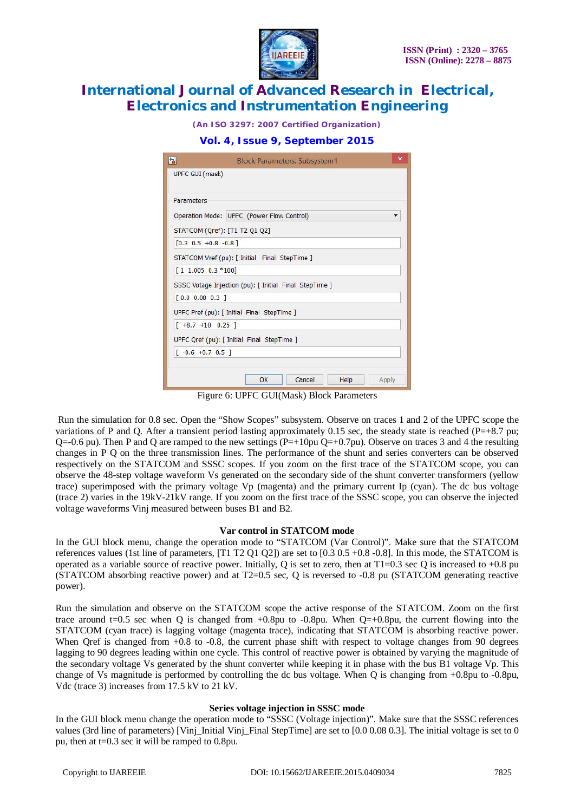

*(An ISO 3297: 2007 Certified Organization)*

### **Vol. 4, Issue 9, September 2015**

| h                                             | <b>Block Parameters: Subsystem1</b>                    | $\times$ |
|-----------------------------------------------|--------------------------------------------------------|----------|
| UPFC GUI (mask)                               |                                                        |          |
|                                               |                                                        |          |
| Parameters                                    |                                                        |          |
|                                               | Operation Mode: UPFC (Power Flow Control)              |          |
|                                               | STATCOM (Qref): [T1 T2 Q1 Q2]                          |          |
| $[0.3 \t0.5 +0.8 -0.8]$                       |                                                        |          |
| STATCOM Vref (pu): [ Initial Final StepTime ] |                                                        |          |
| $[1 1.005 0.3 *100]$                          |                                                        |          |
|                                               | SSSC Votage Injection (pu): [ Initial Final StepTime ] |          |
| [0.0 0.08 0.3]                                |                                                        |          |
|                                               | UPFC Pref (pu): [ Initial Final StepTime ]             |          |
| $[+8.7 +10 0.25]$                             |                                                        |          |
|                                               | UPFC Qref (pu): [ Initial Final StepTime ]             |          |
| $[-0.6 +0.7 0.5]$                             |                                                        |          |
|                                               |                                                        |          |
|                                               | OK<br>Cancel<br>Help<br>Apply                          |          |

Figure 6: UPFC GUI(Mask) Block Parameters

Run the simulation for 0.8 sec. Open the "Show Scopes" subsystem. Observe on traces 1 and 2 of the UPFC scope the variations of P and Q. After a transient period lasting approximately 0.15 sec, the steady state is reached (P=+8.7 pu; Q=-0.6 pu). Then P and Q are ramped to the new settings (P=+10pu Q=+0.7pu). Observe on traces 3 and 4 the resulting changes in P Q on the three transmission lines. The performance of the shunt and series converters can be observed respectively on the STATCOM and SSSC scopes. If you zoom on the first trace of the STATCOM scope, you can observe the 48-step voltage waveform Vs generated on the secondary side of the shunt converter transformers (yellow trace) superimposed with the primary voltage Vp (magenta) and the primary current Ip (cyan). The dc bus voltage (trace 2) varies in the 19kV-21kV range. If you zoom on the first trace of the SSSC scope, you can observe the injected voltage waveforms Vinj measured between buses B1 and B2.

#### **Var control in STATCOM mode**

In the GUI block menu, change the operation mode to "STATCOM (Var Control)". Make sure that the STATCOM references values (1st line of parameters, [T1 T2 Q1 Q2]) are set to [0.3 0.5 +0.8 -0.8]. In this mode, the STATCOM is operated as a variable source of reactive power. Initially, Q is set to zero, then at  $T1=0.3$  sec Q is increased to  $+0.8$  pu (STATCOM absorbing reactive power) and at T2=0.5 sec, Q is reversed to -0.8 pu (STATCOM generating reactive power).

Run the simulation and observe on the STATCOM scope the active response of the STATCOM. Zoom on the first trace around t=0.5 sec when Q is changed from  $+0.8$ pu to  $-0.8$ pu. When  $Q=+0.8$ pu, the current flowing into the STATCOM (cyan trace) is lagging voltage (magenta trace), indicating that STATCOM is absorbing reactive power. When Oref is changed from  $+0.8$  to  $-0.8$ , the current phase shift with respect to voltage changes from 90 degrees lagging to 90 degrees leading within one cycle. This control of reactive power is obtained by varying the magnitude of the secondary voltage Vs generated by the shunt converter while keeping it in phase with the bus B1 voltage Vp. This change of Vs magnitude is performed by controlling the dc bus voltage. When Q is changing from +0.8pu to -0.8pu, Vdc (trace 3) increases from 17.5 kV to 21 kV.

#### **Series voltage injection in SSSC mode**

In the GUI block menu change the operation mode to "SSSC (Voltage injection)". Make sure that the SSSC references values (3rd line of parameters) [Vinj\_Initial Vinj\_Final StepTime] are set to  $[0.0 0.08 0.3]$ . The initial voltage is set to 0 pu, then at t=0.3 sec it will be ramped to 0.8pu.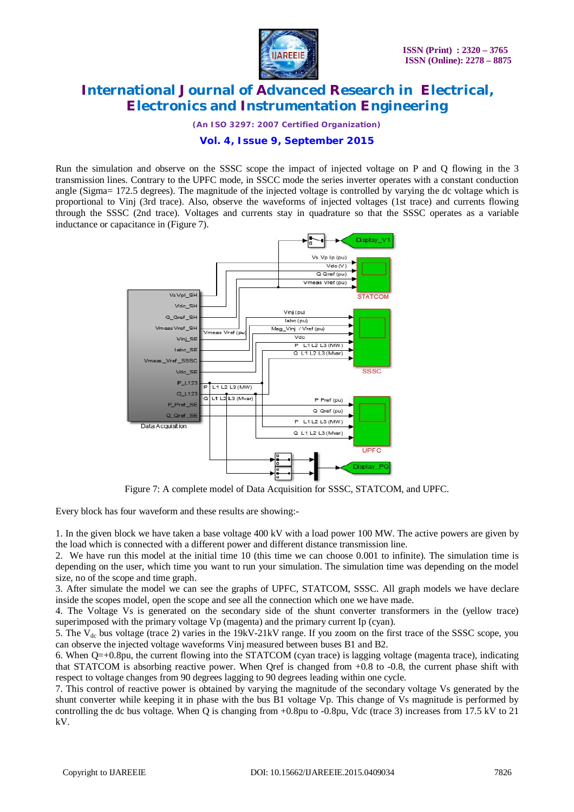

*(An ISO 3297: 2007 Certified Organization)*

### **Vol. 4, Issue 9, September 2015**

Run the simulation and observe on the SSSC scope the impact of injected voltage on P and Q flowing in the 3 transmission lines. Contrary to the UPFC mode, in SSCC mode the series inverter operates with a constant conduction angle (Sigma= 172.5 degrees). The magnitude of the injected voltage is controlled by varying the dc voltage which is proportional to Vinj (3rd trace). Also, observe the waveforms of injected voltages (1st trace) and currents flowing through the SSSC (2nd trace). Voltages and currents stay in quadrature so that the SSSC operates as a variable inductance or capacitance in (Figure 7).



Figure 7: A complete model of Data Acquisition for SSSC, STATCOM, and UPFC.

Every block has four waveform and these results are showing:-

1. In the given block we have taken a base voltage 400 kV with a load power 100 MW. The active powers are given by the load which is connected with a different power and different distance transmission line.

2. We have run this model at the initial time 10 (this time we can choose 0.001 to infinite). The simulation time is depending on the user, which time you want to run your simulation. The simulation time was depending on the model size, no of the scope and time graph.

3. After simulate the model we can see the graphs of UPFC, STATCOM, SSSC. All graph models we have declare inside the scopes model, open the scope and see all the connection which one we have made.

4. The Voltage Vs is generated on the secondary side of the shunt converter transformers in the (yellow trace) superimposed with the primary voltage Vp (magenta) and the primary current Ip (cyan).

5. The  $V_{dc}$  bus voltage (trace 2) varies in the 19kV-21kV range. If you zoom on the first trace of the SSSC scope, you can observe the injected voltage waveforms Vinj measured between buses B1 and B2.

6. When Q=+0.8pu, the current flowing into the STATCOM (cyan trace) is lagging voltage (magenta trace), indicating that STATCOM is absorbing reactive power. When Qref is changed from +0.8 to -0.8, the current phase shift with respect to voltage changes from 90 degrees lagging to 90 degrees leading within one cycle.

7. This control of reactive power is obtained by varying the magnitude of the secondary voltage Vs generated by the shunt converter while keeping it in phase with the bus B1 voltage Vp. This change of Vs magnitude is performed by controlling the dc bus voltage. When Q is changing from +0.8pu to -0.8pu, Vdc (trace 3) increases from 17.5 kV to 21 kV.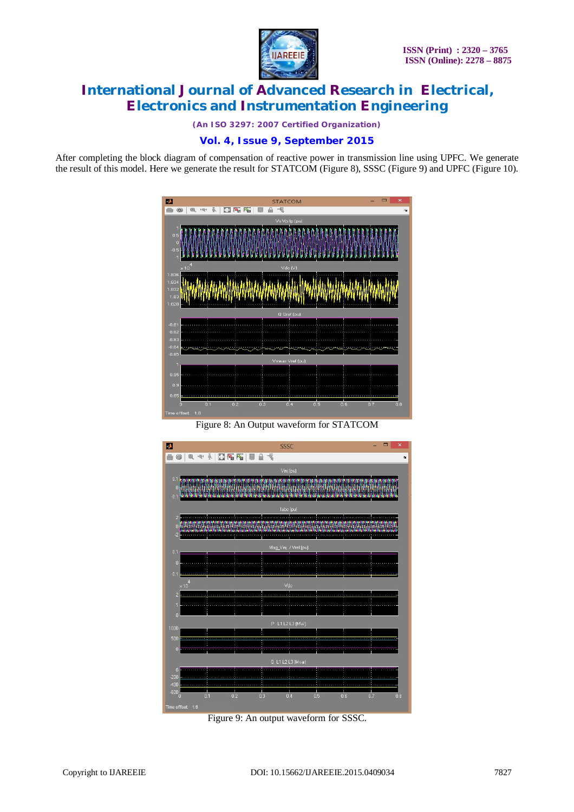

*(An ISO 3297: 2007 Certified Organization)*

### **Vol. 4, Issue 9, September 2015**

After completing the block diagram of compensation of reactive power in transmission line using UPFC. We generate the result of this model. Here we generate the result for STATCOM (Figure 8), SSSC (Figure 9) and UPFC (Figure 10).



Figure 8: An Output waveform for STATCOM



Figure 9: An output waveform for SSSC.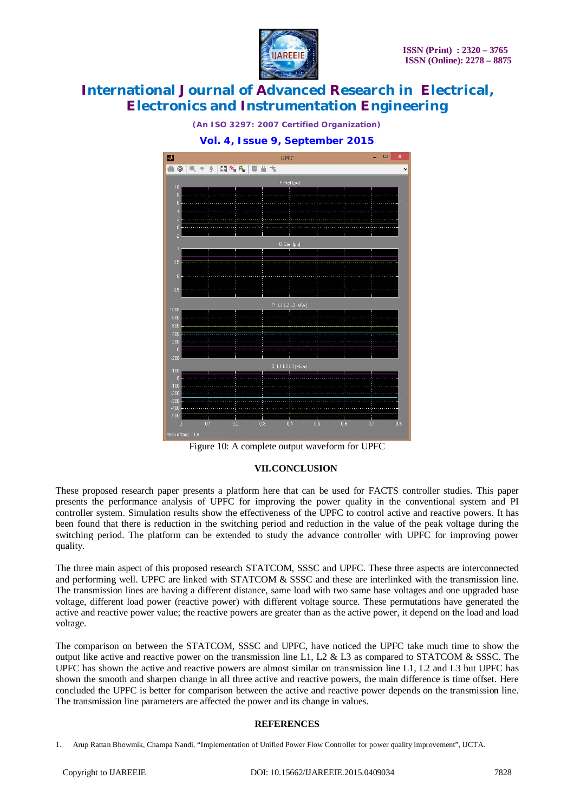



*(An ISO 3297: 2007 Certified Organization)* **Vol. 4, Issue 9, September 2015**

#### **VII.CONCLUSION**

These proposed research paper presents a platform here that can be used for FACTS controller studies. This paper presents the performance analysis of UPFC for improving the power quality in the conventional system and PI controller system. Simulation results show the effectiveness of the UPFC to control active and reactive powers. It has been found that there is reduction in the switching period and reduction in the value of the peak voltage during the switching period. The platform can be extended to study the advance controller with UPFC for improving power quality.

The three main aspect of this proposed research STATCOM, SSSC and UPFC. These three aspects are interconnected and performing well. UPFC are linked with STATCOM & SSSC and these are interlinked with the transmission line. The transmission lines are having a different distance, same load with two same base voltages and one upgraded base voltage, different load power (reactive power) with different voltage source. These permutations have generated the active and reactive power value; the reactive powers are greater than as the active power, it depend on the load and load voltage.

The comparison on between the STATCOM, SSSC and UPFC, have noticed the UPFC take much time to show the output like active and reactive power on the transmission line L1, L2  $\&$  L3 as compared to STATCOM  $\&$  SSSC. The UPFC has shown the active and reactive powers are almost similar on transmission line L1, L2 and L3 but UPFC has shown the smooth and sharpen change in all three active and reactive powers, the main difference is time offset. Here concluded the UPFC is better for comparison between the active and reactive power depends on the transmission line. The transmission line parameters are affected the power and its change in values.

#### **REFERENCES**

Figure 10: A complete output waveform for UPFC

<sup>1.</sup> Arup Rattan Bhowmik, Champa Nandi, "Implementation of Unified Power Flow Controller for power quality improvement", IJCTA.